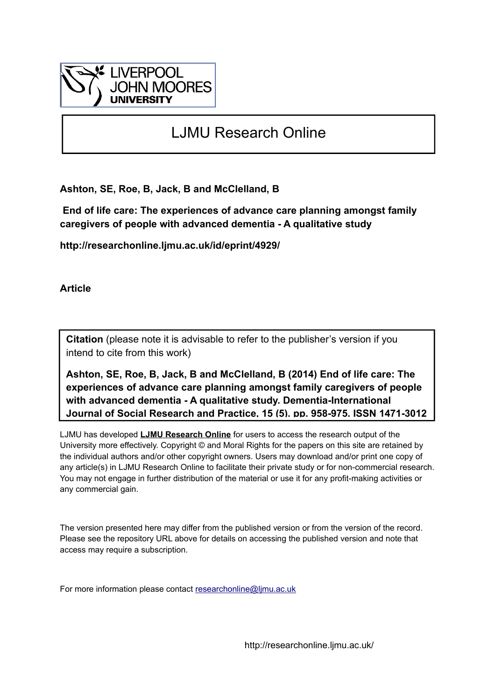

# LJMU Research Online

**Ashton, SE, Roe, B, Jack, B and McClelland, B**

 **End of life care: The experiences of advance care planning amongst family caregivers of people with advanced dementia - A qualitative study**

**http://researchonline.ljmu.ac.uk/id/eprint/4929/**

**Article**

**Citation** (please note it is advisable to refer to the publisher's version if you intend to cite from this work)

**Ashton, SE, Roe, B, Jack, B and McClelland, B (2014) End of life care: The experiences of advance care planning amongst family caregivers of people with advanced dementia - A qualitative study. Dementia-International Journal of Social Research and Practice, 15 (5). pp. 958-975. ISSN 1471-3012**

LJMU has developed **[LJMU Research Online](http://researchonline.ljmu.ac.uk/)** for users to access the research output of the University more effectively. Copyright © and Moral Rights for the papers on this site are retained by the individual authors and/or other copyright owners. Users may download and/or print one copy of any article(s) in LJMU Research Online to facilitate their private study or for non-commercial research. You may not engage in further distribution of the material or use it for any profit-making activities or any commercial gain.

The version presented here may differ from the published version or from the version of the record. Please see the repository URL above for details on accessing the published version and note that access may require a subscription.

For more information please contact [researchonline@ljmu.ac.uk](mailto:researchonline@ljmu.ac.uk)

http://researchonline.ljmu.ac.uk/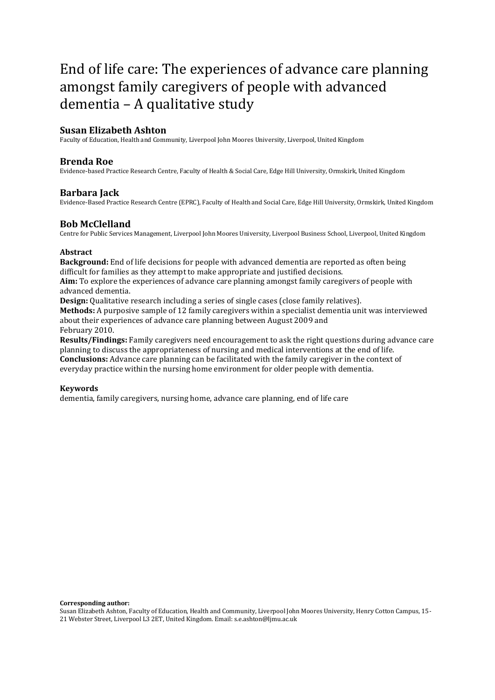# End of life care: The experiences of advance care planning amongst family caregivers of people with advanced dementia – A qualitative study

## **Susan Elizabeth Ashton**

Faculty of Education, Health and Community, Liverpool John Moores University, Liverpool, United Kingdom

### **Brenda Roe**

Evidence-based Practice Research Centre, Faculty of Health & Social Care, Edge Hill University, Ormskirk, United Kingdom

#### **Barbara Jack**

Evidence-Based Practice Research Centre (EPRC), Faculty of Health and Social Care, Edge Hill University, Ormskirk, United Kingdom

## **Bob McClelland**

Centre for Public Services Management, Liverpool John Moores University, Liverpool Business School, Liverpool, United Kingdom

#### **Abstract**

**Background:** End of life decisions for people with advanced dementia are reported as often being difficult for families as they attempt to make appropriate and justified decisions.

**Aim:** To explore the experiences of advance care planning amongst family caregivers of people with advanced dementia.

**Design:** Qualitative research including a series of single cases (close family relatives).

**Methods:** A purposive sample of 12 family caregivers within a specialist dementia unit was interviewed about their experiences of advance care planning between August 2009 and February 2010.

**Results/Findings:** Family caregivers need encouragement to ask the right questions during advance care planning to discuss the appropriateness of nursing and medical interventions at the end of life. **Conclusions:** Advance care planning can be facilitated with the family caregiver in the context of everyday practice within the nursing home environment for older people with dementia.

#### **Keywords**

dementia, family caregivers, nursing home, advance care planning, end of life care

**Corresponding author:** 

Susan Elizabeth Ashton, Faculty of Education, Health and Community, Liverpool John Moores University, Henry Cotton Campus, 15- 21 Webster Street, Liverpool L3 2ET, United Kingdom. Email: s.e.ashton@ljmu.ac.uk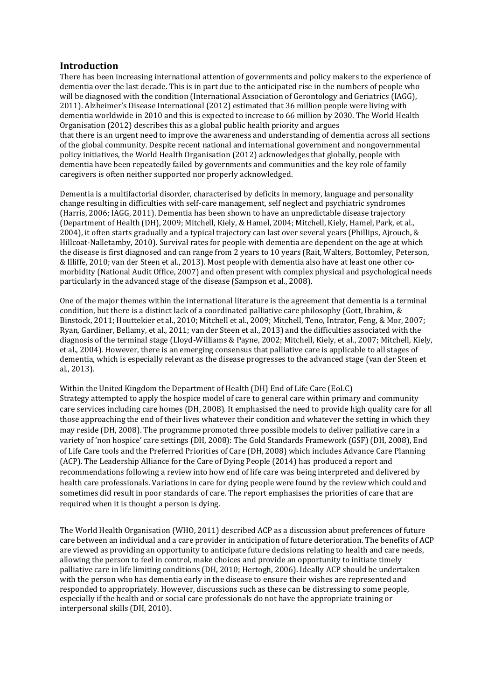## **Introduction**

There has been increasing international attention of governments and policy makers to the experience of dementia over the last decade. This is in part due to the anticipated rise in the numbers of people who will be diagnosed with the condition (International Association of Gerontology and Geriatrics (IAGG), 2011). Alzheimer's Disease International (2012) estimated that 36 million people were living with dementia worldwide in 2010 and this is expected to increase to 66 million by 2030. The World Health Organisation (2012) describes this as a global public health priority and argues that there is an urgent need to improve the awareness and understanding of dementia across all sections of the global community. Despite recent national and international government and nongovernmental policy initiatives, the World Health Organisation (2012) acknowledges that globally, people with dementia have been repeatedly failed by governments and communities and the key role of family caregivers is often neither supported nor properly acknowledged.

Dementia is a multifactorial disorder, characterised by deficits in memory, language and personality change resulting in difficulties with self-care management, self neglect and psychiatric syndromes (Harris, 2006; IAGG, 2011). Dementia has been shown to have an unpredictable disease trajectory (Department of Health (DH), 2009; Mitchell, Kiely, & Hamel, 2004; Mitchell, Kiely, Hamel, Park, et al., 2004), it often starts gradually and a typical trajectory can last over several years (Phillips, Ajrouch, & Hillcoat-Nalletamby, 2010). Survival rates for people with dementia are dependent on the age at which the disease is first diagnosed and can range from 2 years to 10 years (Rait, Walters, Bottomley, Peterson, & Illiffe, 2010; van der Steen et al., 2013). Most people with dementia also have at least one other comorbidity (National Audit Office, 2007) and often present with complex physical and psychological needs particularly in the advanced stage of the disease (Sampson et al., 2008).

One of the major themes within the international literature is the agreement that dementia is a terminal condition, but there is a distinct lack of a coordinated palliative care philosophy (Gott, Ibrahim, & Binstock, 2011; Houttekier et al., 2010; Mitchell et al., 2009; Mitchell, Teno, Intrator, Feng, & Mor, 2007; Ryan, Gardiner, Bellamy, et al., 2011; van der Steen et al., 2013) and the difficulties associated with the diagnosis of the terminal stage (Lloyd-Williams & Payne, 2002; Mitchell, Kiely, et al., 2007; Mitchell, Kiely, et al., 2004). However, there is an emerging consensus that palliative care is applicable to all stages of dementia, which is especially relevant as the disease progresses to the advanced stage (van der Steen et al., 2013).

Within the United Kingdom the Department of Health (DH) End of Life Care (EoLC) Strategy attempted to apply the hospice model of care to general care within primary and community care services including care homes (DH, 2008). It emphasised the need to provide high quality care for all those approaching the end of their lives whatever their condition and whatever the setting in which they may reside (DH, 2008). The programme promoted three possible models to deliver palliative care in a variety of 'non hospice' care settings (DH, 2008): The Gold Standards Framework (GSF) (DH, 2008), End of Life Care tools and the Preferred Priorities of Care (DH, 2008) which includes Advance Care Planning (ACP). The Leadership Alliance for the Care of Dying People (2014) has produced a report and recommendations following a review into how end of life care was being interpreted and delivered by health care professionals. Variations in care for dying people were found by the review which could and sometimes did result in poor standards of care. The report emphasises the priorities of care that are required when it is thought a person is dying.

The World Health Organisation (WHO, 2011) described ACP as a discussion about preferences of future care between an individual and a care provider in anticipation of future deterioration. The benefits of ACP are viewed as providing an opportunity to anticipate future decisions relating to health and care needs, allowing the person to feel in control, make choices and provide an opportunity to initiate timely palliative care in life limiting conditions (DH, 2010; Hertogh, 2006). Ideally ACP should be undertaken with the person who has dementia early in the disease to ensure their wishes are represented and responded to appropriately. However, discussions such as these can be distressing to some people, especially if the health and or social care professionals do not have the appropriate training or interpersonal skills (DH, 2010).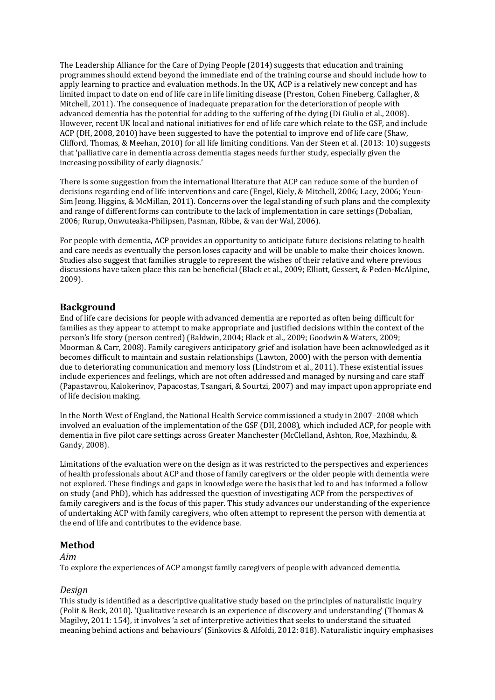The Leadership Alliance for the Care of Dying People (2014) suggests that education and training programmes should extend beyond the immediate end of the training course and should include how to apply learning to practice and evaluation methods. In the UK, ACP is a relatively new concept and has limited impact to date on end of life care in life limiting disease (Preston, Cohen Fineberg, Callagher, & Mitchell, 2011). The consequence of inadequate preparation for the deterioration of people with advanced dementia has the potential for adding to the suffering of the dying (Di Giulio et al., 2008). However, recent UK local and national initiatives for end of life care which relate to the GSF, and include ACP (DH, 2008, 2010) have been suggested to have the potential to improve end of life care (Shaw, Clifford, Thomas, & Meehan, 2010) for all life limiting conditions. Van der Steen et al. (2013: 10) suggests that 'palliative care in dementia across dementia stages needs further study, especially given the increasing possibility of early diagnosis.'

There is some suggestion from the international literature that ACP can reduce some of the burden of decisions regarding end of life interventions and care (Engel, Kiely, & Mitchell, 2006; Lacy, 2006; Yeun-Sim Jeong, Higgins, & McMillan, 2011). Concerns over the legal standing of such plans and the complexity and range of different forms can contribute to the lack of implementation in care settings (Dobalian, 2006; Rurup, Onwuteaka-Philipsen, Pasman, Ribbe, & van der Wal, 2006).

For people with dementia, ACP provides an opportunity to anticipate future decisions relating to health and care needs as eventually the person loses capacity and will be unable to make their choices known. Studies also suggest that families struggle to represent the wishes of their relative and where previous discussions have taken place this can be beneficial (Black et al., 2009; Elliott, Gessert, & Peden-McAlpine, 2009).

## **Background**

End of life care decisions for people with advanced dementia are reported as often being difficult for families as they appear to attempt to make appropriate and justified decisions within the context of the person's life story (person centred) (Baldwin, 2004; Black et al., 2009; Goodwin & Waters, 2009; Moorman & Carr, 2008). Family caregivers anticipatory grief and isolation have been acknowledged as it becomes difficult to maintain and sustain relationships (Lawton, 2000) with the person with dementia due to deteriorating communication and memory loss (Lindstrom et al., 2011). These existential issues include experiences and feelings, which are not often addressed and managed by nursing and care staff (Papastavrou, Kalokerinov, Papacostas, Tsangari, & Sourtzi, 2007) and may impact upon appropriate end of life decision making.

In the North West of England, the National Health Service commissioned a study in 2007–2008 which involved an evaluation of the implementation of the GSF (DH, 2008), which included ACP, for people with dementia in five pilot care settings across Greater Manchester (McClelland, Ashton, Roe, Mazhindu, & Gandy, 2008).

Limitations of the evaluation were on the design as it was restricted to the perspectives and experiences of health professionals about ACP and those of family caregivers or the older people with dementia were not explored. These findings and gaps in knowledge were the basis that led to and has informed a follow on study (and PhD), which has addressed the question of investigating ACP from the perspectives of family caregivers and is the focus of this paper. This study advances our understanding of the experience of undertaking ACP with family caregivers, who often attempt to represent the person with dementia at the end of life and contributes to the evidence base.

# **Method**

## *Aim*

To explore the experiences of ACP amongst family caregivers of people with advanced dementia.

## *Design*

This study is identified as a descriptive qualitative study based on the principles of naturalistic inquiry (Polit & Beck, 2010). 'Qualitative research is an experience of discovery and understanding' (Thomas & Magilvy, 2011: 154), it involves 'a set of interpretive activities that seeks to understand the situated meaning behind actions and behaviours' (Sinkovics & Alfoldi, 2012: 818). Naturalistic inquiry emphasises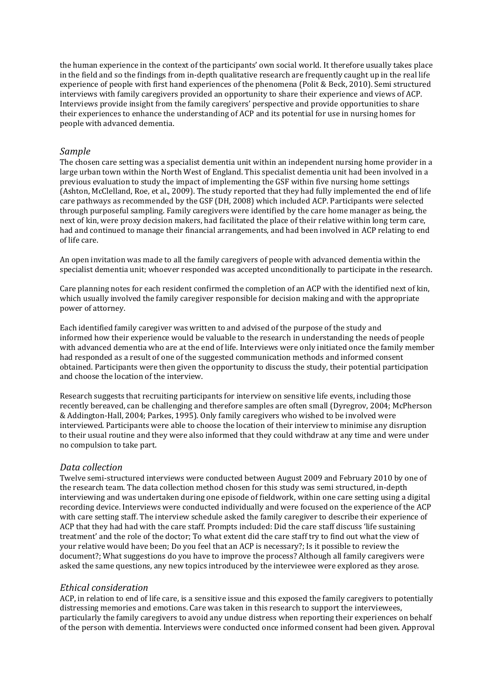the human experience in the context of the participants' own social world. It therefore usually takes place in the field and so the findings from in-depth qualitative research are frequently caught up in the real life experience of people with first hand experiences of the phenomena (Polit & Beck, 2010). Semi structured interviews with family caregivers provided an opportunity to share their experience and views of ACP. Interviews provide insight from the family caregivers' perspective and provide opportunities to share their experiences to enhance the understanding of ACP and its potential for use in nursing homes for people with advanced dementia.

#### *Sample*

The chosen care setting was a specialist dementia unit within an independent nursing home provider in a large urban town within the North West of England. This specialist dementia unit had been involved in a previous evaluation to study the impact of implementing the GSF within five nursing home settings (Ashton, McClelland, Roe, et al., 2009). The study reported that they had fully implemented the end of life care pathways as recommended by the GSF (DH, 2008) which included ACP. Participants were selected through purposeful sampling. Family caregivers were identified by the care home manager as being, the next of kin, were proxy decision makers, had facilitated the place of their relative within long term care, had and continued to manage their financial arrangements, and had been involved in ACP relating to end of life care.

An open invitation was made to all the family caregivers of people with advanced dementia within the specialist dementia unit; whoever responded was accepted unconditionally to participate in the research.

Care planning notes for each resident confirmed the completion of an ACP with the identified next of kin, which usually involved the family caregiver responsible for decision making and with the appropriate power of attorney.

Each identified family caregiver was written to and advised of the purpose of the study and informed how their experience would be valuable to the research in understanding the needs of people with advanced dementia who are at the end of life. Interviews were only initiated once the family member had responded as a result of one of the suggested communication methods and informed consent obtained. Participants were then given the opportunity to discuss the study, their potential participation and choose the location of the interview.

Research suggests that recruiting participants for interview on sensitive life events, including those recently bereaved, can be challenging and therefore samples are often small (Dyregrov, 2004; McPherson & Addington-Hall, 2004; Parkes, 1995). Only family caregivers who wished to be involved were interviewed. Participants were able to choose the location of their interview to minimise any disruption to their usual routine and they were also informed that they could withdraw at any time and were under no compulsion to take part.

#### *Data collection*

Twelve semi-structured interviews were conducted between August 2009 and February 2010 by one of the research team. The data collection method chosen for this study was semi structured, in-depth interviewing and was undertaken during one episode of fieldwork, within one care setting using a digital recording device. Interviews were conducted individually and were focused on the experience of the ACP with care setting staff. The interview schedule asked the family caregiver to describe their experience of ACP that they had had with the care staff. Prompts included: Did the care staff discuss 'life sustaining treatment' and the role of the doctor; To what extent did the care staff try to find out what the view of your relative would have been; Do you feel that an ACP is necessary?; Is it possible to review the document?; What suggestions do you have to improve the process? Although all family caregivers were asked the same questions, any new topics introduced by the interviewee were explored as they arose.

#### *Ethical consideration*

ACP, in relation to end of life care, is a sensitive issue and this exposed the family caregivers to potentially distressing memories and emotions. Care was taken in this research to support the interviewees, particularly the family caregivers to avoid any undue distress when reporting their experiences on behalf of the person with dementia. Interviews were conducted once informed consent had been given. Approval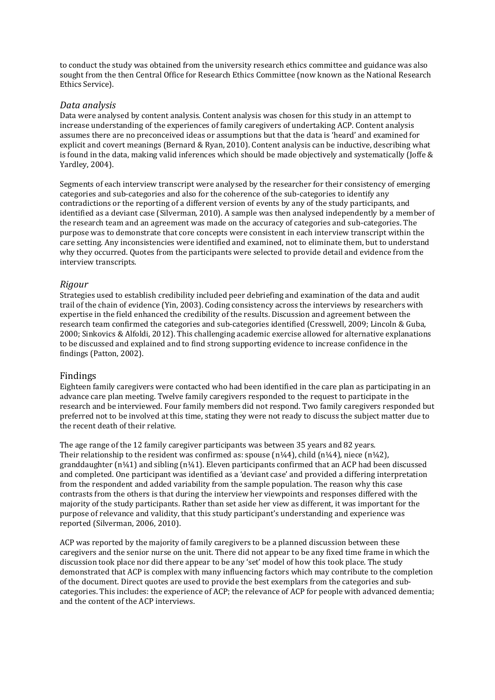to conduct the study was obtained from the university research ethics committee and guidance was also sought from the then Central Office for Research Ethics Committee (now known as the National Research Ethics Service).

## *Data analysis*

Data were analysed by content analysis. Content analysis was chosen for this study in an attempt to increase understanding of the experiences of family caregivers of undertaking ACP. Content analysis assumes there are no preconceived ideas or assumptions but that the data is 'heard' and examined for explicit and covert meanings (Bernard & Ryan, 2010). Content analysis can be inductive, describing what is found in the data, making valid inferences which should be made objectively and systematically (Joffe & Yardley, 2004).

Segments of each interview transcript were analysed by the researcher for their consistency of emerging categories and sub-categories and also for the coherence of the sub-categories to identify any contradictions or the reporting of a different version of events by any of the study participants, and identified as a deviant case (Silverman, 2010). A sample was then analysed independently by a member of the research team and an agreement was made on the accuracy of categories and sub-categories. The purpose was to demonstrate that core concepts were consistent in each interview transcript within the care setting. Any inconsistencies were identified and examined, not to eliminate them, but to understand why they occurred. Quotes from the participants were selected to provide detail and evidence from the interview transcripts.

## *Rigour*

Strategies used to establish credibility included peer debriefing and examination of the data and audit trail of the chain of evidence (Yin, 2003). Coding consistency across the interviews by researchers with expertise in the field enhanced the credibility of the results. Discussion and agreement between the research team confirmed the categories and sub-categories identified (Cresswell, 2009; Lincoln & Guba, 2000; Sinkovics & Alfoldi, 2012). This challenging academic exercise allowed for alternative explanations to be discussed and explained and to find strong supporting evidence to increase confidence in the findings (Patton, 2002).

## Findings

Eighteen family caregivers were contacted who had been identified in the care plan as participating in an advance care plan meeting. Twelve family caregivers responded to the request to participate in the research and be interviewed. Four family members did not respond. Two family caregivers responded but preferred not to be involved at this time, stating they were not ready to discuss the subject matter due to the recent death of their relative.

The age range of the 12 family caregiver participants was between 35 years and 82 years. Their relationship to the resident was confirmed as: spouse  $(n\frac{1}{4}$ , child  $(n\frac{1}{4})$ , niece  $(n\frac{1}{4})$ , granddaughter  $(n\frac{1}{4}1)$  and sibling  $(n\frac{1}{4}1)$ . Eleven participants confirmed that an ACP had been discussed and completed. One participant was identified as a 'deviant case' and provided a differing interpretation from the respondent and added variability from the sample population. The reason why this case contrasts from the others is that during the interview her viewpoints and responses differed with the majority of the study participants. Rather than set aside her view as different, it was important for the purpose of relevance and validity, that this study participant's understanding and experience was reported (Silverman, 2006, 2010).

ACP was reported by the majority of family caregivers to be a planned discussion between these caregivers and the senior nurse on the unit. There did not appear to be any fixed time frame in which the discussion took place nor did there appear to be any 'set' model of how this took place. The study demonstrated that ACP is complex with many influencing factors which may contribute to the completion of the document. Direct quotes are used to provide the best exemplars from the categories and subcategories. This includes: the experience of ACP; the relevance of ACP for people with advanced dementia; and the content of the ACP interviews.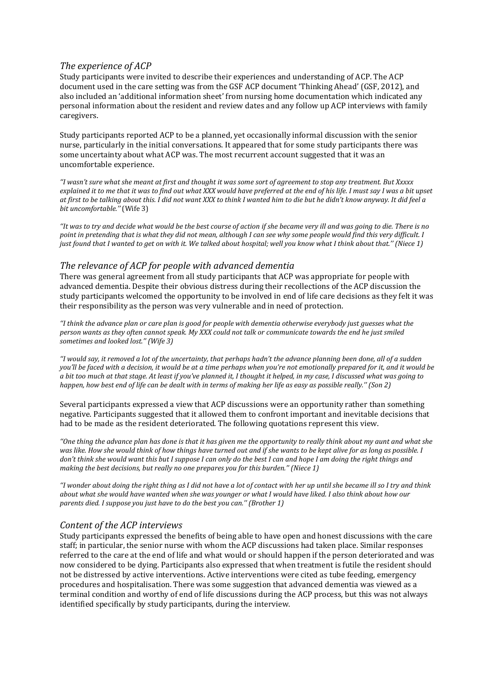## *The experience of ACP*

Study participants were invited to describe their experiences and understanding of ACP. The ACP document used in the care setting was from the GSF ACP document 'Thinking Ahead' (GSF, 2012), and also included an 'additional information sheet' from nursing home documentation which indicated any personal information about the resident and review dates and any follow up ACP interviews with family caregivers.

Study participants reported ACP to be a planned, yet occasionally informal discussion with the senior nurse, particularly in the initial conversations. It appeared that for some study participants there was some uncertainty about what ACP was. The most recurrent account suggested that it was an uncomfortable experience.

*''I wasn't sure what she meant at first and thought it was some sort of agreement to stop any treatment. But Xxxxx explained it to me that it was to find out what XXX would have preferred at the end of his life. I must say I was a bit upset at first to be talking about this. I did not want XXX to think I wanted him to die but he didn't know anyway. It did feel a bit uncomfortable.''* (Wife 3)

*''It was to try and decide what would be the best course of action if she became very ill and was going to die. There is no point in pretending that is what they did not mean, although I can see why some people would find this very difficult. I just found that I wanted to get on with it. We talked about hospital; well you know what I think about that.'' (Niece 1)*

## *The relevance of ACP for people with advanced dementia*

There was general agreement from all study participants that ACP was appropriate for people with advanced dementia. Despite their obvious distress during their recollections of the ACP discussion the study participants welcomed the opportunity to be involved in end of life care decisions as they felt it was their responsibility as the person was very vulnerable and in need of protection.

*''I think the advance plan or care plan is good for people with dementia otherwise everybody just guesses what the person wants as they often cannot speak. My XXX could not talk or communicate towards the end he just smiled sometimes and looked lost.'' (Wife 3)*

*''I would say, it removed a lot of the uncertainty, that perhaps hadn't the advance planning been done, all of a sudden you'll be faced with a decision, it would be at a time perhaps when you're not emotionally prepared for it, and it would be a bit too much at that stage. At least if you've planned it, I thought it helped, in my case, I discussed what was going to happen, how best end of life can be dealt with in terms of making her life as easy as possible really.'' (Son 2)*

Several participants expressed a view that ACP discussions were an opportunity rather than something negative. Participants suggested that it allowed them to confront important and inevitable decisions that had to be made as the resident deteriorated. The following quotations represent this view.

*''One thing the advance plan has done is that it has given me the opportunity to really think about my aunt and what she was like. How she would think of how things have turned out and if she wants to be kept alive for as long as possible. I don't think she would want this but I suppose I can only do the best I can and hope I am doing the right things and making the best decisions, but really no one prepares you for this burden.'' (Niece 1)*

*''I wonder about doing the right thing as I did not have a lot of contact with her up until she became ill so I try and think about what she would have wanted when she was younger or what I would have liked. I also think about how our parents died. I suppose you just have to do the best you can.'' (Brother 1)*

# *Content of the ACP interviews*

Study participants expressed the benefits of being able to have open and honest discussions with the care staff; in particular, the senior nurse with whom the ACP discussions had taken place. Similar responses referred to the care at the end of life and what would or should happen if the person deteriorated and was now considered to be dying. Participants also expressed that when treatment is futile the resident should not be distressed by active interventions. Active interventions were cited as tube feeding, emergency procedures and hospitalisation. There was some suggestion that advanced dementia was viewed as a terminal condition and worthy of end of life discussions during the ACP process, but this was not always identified specifically by study participants, during the interview.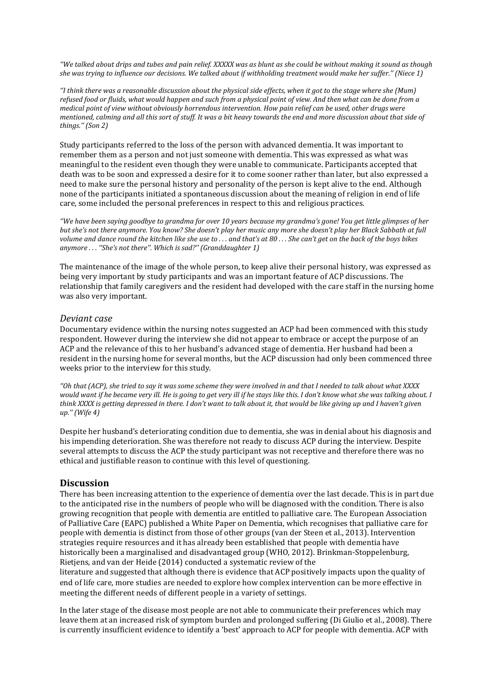*''We talked about drips and tubes and pain relief. XXXXX was as blunt as she could be without making it sound as though she was trying to influence our decisions. We talked about if withholding treatment would make her suffer.'' (Niece 1)*

*''I think there was a reasonable discussion about the physical side effects, when it got to the stage where she (Mum) refused food or fluids, what would happen and such from a physical point of view. And then what can be done from a medical point of view without obviously horrendous intervention. How pain relief can be used, other drugs were mentioned, calming and all this sort of stuff. It was a bit heavy towards the end and more discussion about that side of things.'' (Son 2)*

Study participants referred to the loss of the person with advanced dementia. It was important to remember them as a person and not just someone with dementia. This was expressed as what was meaningful to the resident even though they were unable to communicate. Participants accepted that death was to be soon and expressed a desire for it to come sooner rather than later, but also expressed a need to make sure the personal history and personality of the person is kept alive to the end. Although none of the participants initiated a spontaneous discussion about the meaning of religion in end of life care, some included the personal preferences in respect to this and religious practices.

*''We have been saying goodbye to grandma for over 10 years because my grandma's gone! You get little glimpses of her but she's not there anymore. You know? She doesn't play her music any more she doesn't play her Black Sabbath at full volume and dance round the kitchen like she use to . . . and that's at 80 . . . She can't get on the back of the boys bikes anymore . . . ''She's not there''. Which is sad?'' (Granddaughter 1)*

The maintenance of the image of the whole person, to keep alive their personal history, was expressed as being very important by study participants and was an important feature of ACP discussions. The relationship that family caregivers and the resident had developed with the care staff in the nursing home was also very important.

#### *Deviant case*

Documentary evidence within the nursing notes suggested an ACP had been commenced with this study respondent. However during the interview she did not appear to embrace or accept the purpose of an ACP and the relevance of this to her husband's advanced stage of dementia. Her husband had been a resident in the nursing home for several months, but the ACP discussion had only been commenced three weeks prior to the interview for this study.

*''Oh that (ACP), she tried to say it was some scheme they were involved in and that I needed to talk about what XXXX would want if he became very ill. He is going to get very ill if he stays like this. I don't know what she was talking about. I* think XXXX is getting depressed in there. I don't want to talk about it, that would be like giving up and I haven't given *up.'' (Wife 4)*

Despite her husband's deteriorating condition due to dementia, she was in denial about his diagnosis and his impending deterioration. She was therefore not ready to discuss ACP during the interview. Despite several attempts to discuss the ACP the study participant was not receptive and therefore there was no ethical and justifiable reason to continue with this level of questioning.

#### **Discussion**

There has been increasing attention to the experience of dementia over the last decade. This is in part due to the anticipated rise in the numbers of people who will be diagnosed with the condition. There is also growing recognition that people with dementia are entitled to palliative care. The European Association of Palliative Care (EAPC) published a White Paper on Dementia, which recognises that palliative care for people with dementia is distinct from those of other groups (van der Steen et al., 2013). Intervention strategies require resources and it has already been established that people with dementia have historically been a marginalised and disadvantaged group (WHO, 2012). Brinkman-Stoppelenburg, Rietjens, and van der Heide (2014) conducted a systematic review of the

literature and suggested that although there is evidence that ACP positively impacts upon the quality of end of life care, more studies are needed to explore how complex intervention can be more effective in meeting the different needs of different people in a variety of settings.

In the later stage of the disease most people are not able to communicate their preferences which may leave them at an increased risk of symptom burden and prolonged suffering (Di Giulio et al., 2008). There is currently insufficient evidence to identify a 'best' approach to ACP for people with dementia. ACP with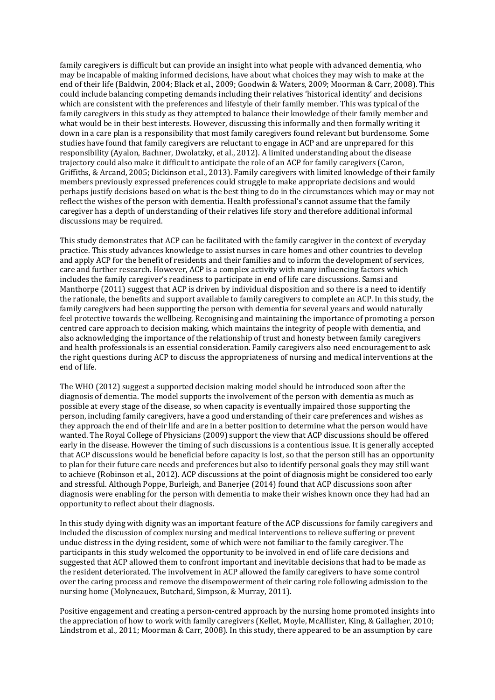family caregivers is difficult but can provide an insight into what people with advanced dementia, who may be incapable of making informed decisions, have about what choices they may wish to make at the end of their life (Baldwin, 2004; Black et al., 2009; Goodwin & Waters, 2009; Moorman & Carr, 2008). This could include balancing competing demands including their relatives 'historical identity' and decisions which are consistent with the preferences and lifestyle of their family member. This was typical of the family caregivers in this study as they attempted to balance their knowledge of their family member and what would be in their best interests. However, discussing this informally and then formally writing it down in a care plan is a responsibility that most family caregivers found relevant but burdensome. Some studies have found that family caregivers are reluctant to engage in ACP and are unprepared for this responsibility (Ayalon, Bachner, Dwolatzky, et al., 2012). A limited understanding about the disease trajectory could also make it difficult to anticipate the role of an ACP for family caregivers (Caron, Griffiths, & Arcand, 2005; Dickinson et al., 2013). Family caregivers with limited knowledge of their family members previously expressed preferences could struggle to make appropriate decisions and would perhaps justify decisions based on what is the best thing to do in the circumstances which may or may not reflect the wishes of the person with dementia. Health professional's cannot assume that the family caregiver has a depth of understanding of their relatives life story and therefore additional informal discussions may be required.

This study demonstrates that ACP can be facilitated with the family caregiver in the context of everyday practice. This study advances knowledge to assist nurses in care homes and other countries to develop and apply ACP for the benefit of residents and their families and to inform the development of services, care and further research. However, ACP is a complex activity with many influencing factors which includes the family caregiver's readiness to participate in end of life care discussions. Samsi and Manthorpe (2011) suggest that ACP is driven by individual disposition and so there is a need to identify the rationale, the benefits and support available to family caregivers to complete an ACP. In this study, the family caregivers had been supporting the person with dementia for several years and would naturally feel protective towards the wellbeing. Recognising and maintaining the importance of promoting a person centred care approach to decision making, which maintains the integrity of people with dementia, and also acknowledging the importance of the relationship of trust and honesty between family caregivers and health professionals is an essential consideration. Family caregivers also need encouragement to ask the right questions during ACP to discuss the appropriateness of nursing and medical interventions at the end of life.

The WHO (2012) suggest a supported decision making model should be introduced soon after the diagnosis of dementia. The model supports the involvement of the person with dementia as much as possible at every stage of the disease, so when capacity is eventually impaired those supporting the person, including family caregivers, have a good understanding of their care preferences and wishes as they approach the end of their life and are in a better position to determine what the person would have wanted. The Royal College of Physicians (2009) support the view that ACP discussions should be offered early in the disease. However the timing of such discussions is a contentious issue. It is generally accepted that ACP discussions would be beneficial before capacity is lost, so that the person still has an opportunity to plan for their future care needs and preferences but also to identify personal goals they may still want to achieve (Robinson et al., 2012). ACP discussions at the point of diagnosis might be considered too early and stressful. Although Poppe, Burleigh, and Banerjee (2014) found that ACP discussions soon after diagnosis were enabling for the person with dementia to make their wishes known once they had had an opportunity to reflect about their diagnosis.

In this study dying with dignity was an important feature of the ACP discussions for family caregivers and included the discussion of complex nursing and medical interventions to relieve suffering or prevent undue distress in the dying resident, some of which were not familiar to the family caregiver. The participants in this study welcomed the opportunity to be involved in end of life care decisions and suggested that ACP allowed them to confront important and inevitable decisions that had to be made as the resident deteriorated. The involvement in ACP allowed the family caregivers to have some control over the caring process and remove the disempowerment of their caring role following admission to the nursing home (Molyneauex, Butchard, Simpson, & Murray, 2011).

Positive engagement and creating a person-centred approach by the nursing home promoted insights into the appreciation of how to work with family caregivers (Kellet, Moyle, McAllister, King, & Gallagher, 2010; Lindstrom et al., 2011; Moorman & Carr, 2008). In this study, there appeared to be an assumption by care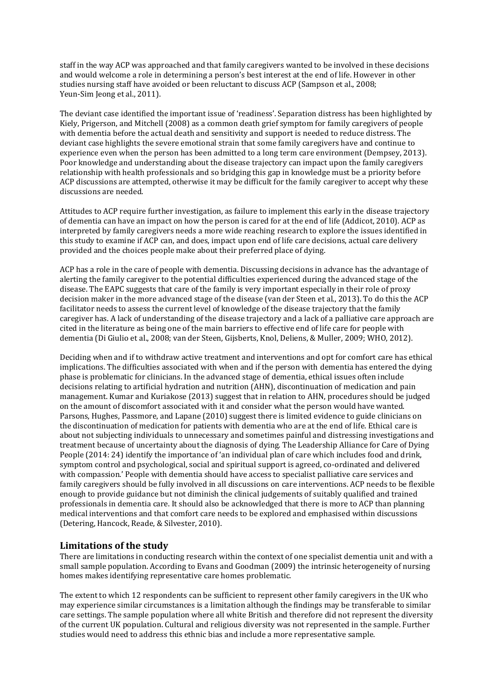staff in the way ACP was approached and that family caregivers wanted to be involved in these decisions and would welcome a role in determining a person's best interest at the end of life. However in other studies nursing staff have avoided or been reluctant to discuss ACP (Sampson et al., 2008; Yeun-Sim Jeong et al., 2011).

The deviant case identified the important issue of 'readiness'. Separation distress has been highlighted by Kiely, Prigerson, and Mitchell (2008) as a common death grief symptom for family caregivers of people with dementia before the actual death and sensitivity and support is needed to reduce distress. The deviant case highlights the severe emotional strain that some family caregivers have and continue to experience even when the person has been admitted to a long term care environment (Dempsey, 2013). Poor knowledge and understanding about the disease trajectory can impact upon the family caregivers relationship with health professionals and so bridging this gap in knowledge must be a priority before ACP discussions are attempted, otherwise it may be difficult for the family caregiver to accept why these discussions are needed.

Attitudes to ACP require further investigation, as failure to implement this early in the disease trajectory of dementia can have an impact on how the person is cared for at the end of life (Addicot, 2010). ACP as interpreted by family caregivers needs a more wide reaching research to explore the issues identified in this study to examine if ACP can, and does, impact upon end of life care decisions, actual care delivery provided and the choices people make about their preferred place of dying.

ACP has a role in the care of people with dementia. Discussing decisions in advance has the advantage of alerting the family caregiver to the potential difficulties experienced during the advanced stage of the disease. The EAPC suggests that care of the family is very important especially in their role of proxy decision maker in the more advanced stage of the disease (van der Steen et al., 2013). To do this the ACP facilitator needs to assess the current level of knowledge of the disease trajectory that the family caregiver has. A lack of understanding of the disease trajectory and a lack of a palliative care approach are cited in the literature as being one of the main barriers to effective end of life care for people with dementia (Di Giulio et al., 2008; van der Steen, Gijsberts, Knol, Deliens, & Muller, 2009; WHO, 2012).

Deciding when and if to withdraw active treatment and interventions and opt for comfort care has ethical implications. The difficulties associated with when and if the person with dementia has entered the dying phase is problematic for clinicians. In the advanced stage of dementia, ethical issues often include decisions relating to artificial hydration and nutrition (AHN), discontinuation of medication and pain management. Kumar and Kuriakose (2013) suggest that in relation to AHN, procedures should be judged on the amount of discomfort associated with it and consider what the person would have wanted. Parsons, Hughes, Passmore, and Lapane (2010) suggest there is limited evidence to guide clinicians on the discontinuation of medication for patients with dementia who are at the end of life. Ethical care is about not subjecting individuals to unnecessary and sometimes painful and distressing investigations and treatment because of uncertainty about the diagnosis of dying. The Leadership Alliance for Care of Dying People (2014: 24) identify the importance of 'an individual plan of care which includes food and drink, symptom control and psychological, social and spiritual support is agreed, co-ordinated and delivered with compassion.' People with dementia should have access to specialist palliative care services and family caregivers should be fully involved in all discussions on care interventions. ACP needs to be flexible enough to provide guidance but not diminish the clinical judgements of suitably qualified and trained professionals in dementia care. It should also be acknowledged that there is more to ACP than planning medical interventions and that comfort care needs to be explored and emphasised within discussions (Detering, Hancock, Reade, & Silvester, 2010).

# **Limitations of the study**

There are limitations in conducting research within the context of one specialist dementia unit and with a small sample population. According to Evans and Goodman (2009) the intrinsic heterogeneity of nursing homes makes identifying representative care homes problematic.

The extent to which 12 respondents can be sufficient to represent other family caregivers in the UK who may experience similar circumstances is a limitation although the findings may be transferable to similar care settings. The sample population where all white British and therefore did not represent the diversity of the current UK population. Cultural and religious diversity was not represented in the sample. Further studies would need to address this ethnic bias and include a more representative sample.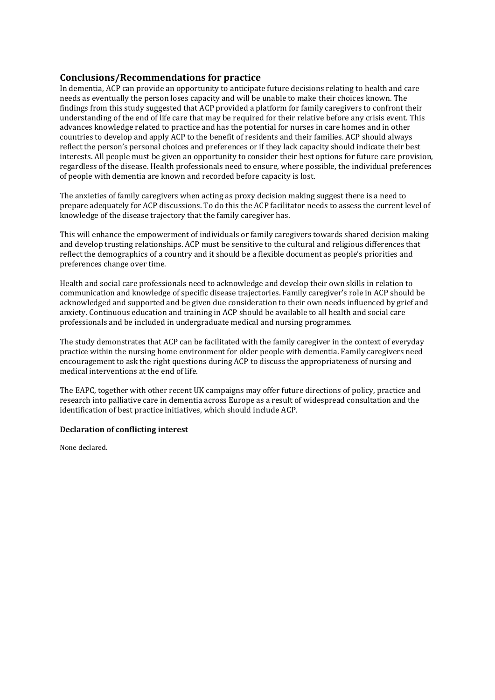# **Conclusions/Recommendations for practice**

In dementia, ACP can provide an opportunity to anticipate future decisions relating to health and care needs as eventually the person loses capacity and will be unable to make their choices known. The findings from this study suggested that ACP provided a platform for family caregivers to confront their understanding of the end of life care that may be required for their relative before any crisis event. This advances knowledge related to practice and has the potential for nurses in care homes and in other countries to develop and apply ACP to the benefit of residents and their families. ACP should always reflect the person's personal choices and preferences or if they lack capacity should indicate their best interests. All people must be given an opportunity to consider their best options for future care provision, regardless of the disease. Health professionals need to ensure, where possible, the individual preferences of people with dementia are known and recorded before capacity is lost.

The anxieties of family caregivers when acting as proxy decision making suggest there is a need to prepare adequately for ACP discussions. To do this the ACP facilitator needs to assess the current level of knowledge of the disease trajectory that the family caregiver has.

This will enhance the empowerment of individuals or family caregivers towards shared decision making and develop trusting relationships. ACP must be sensitive to the cultural and religious differences that reflect the demographics of a country and it should be a flexible document as people's priorities and preferences change over time.

Health and social care professionals need to acknowledge and develop their own skills in relation to communication and knowledge of specific disease trajectories. Family caregiver's role in ACP should be acknowledged and supported and be given due consideration to their own needs influenced by grief and anxiety. Continuous education and training in ACP should be available to all health and social care professionals and be included in undergraduate medical and nursing programmes.

The study demonstrates that ACP can be facilitated with the family caregiver in the context of everyday practice within the nursing home environment for older people with dementia. Family caregivers need encouragement to ask the right questions during ACP to discuss the appropriateness of nursing and medical interventions at the end of life.

The EAPC, together with other recent UK campaigns may offer future directions of policy, practice and research into palliative care in dementia across Europe as a result of widespread consultation and the identification of best practice initiatives, which should include ACP.

## **Declaration of conflicting interest**

None declared.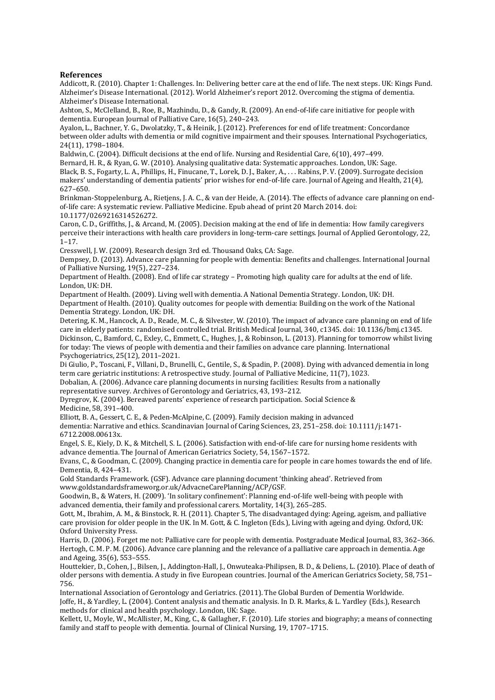#### **References**

Addicott, R. (2010). Chapter 1: Challenges. In: Delivering better care at the end of life. The next steps. UK: Kings Fund. Alzheimer's Disease International. (2012). World Alzheimer's report 2012. Overcoming the stigma of dementia. Alzheimer's Disease International.

Ashton, S., McClelland, B., Roe, B., Mazhindu, D., & Gandy, R. (2009). An end-of-life care initiative for people with dementia. European Journal of Palliative Care, 16(5), 240–243.

Ayalon, L., Bachner, Y. G., Dwolatzky, T., & Heinik, J. (2012). Preferences for end of life treatment: Concordance between older adults with dementia or mild cognitive impairment and their spouses. International Psychogeriatics, 24(11), 1798–1804.

Baldwin, C. (2004). Difficult decisions at the end of life. Nursing and Residential Care, 6(10), 497–499.

Bernard, H. R., & Ryan, G. W. (2010). Analysing qualitative data: Systematic approaches. London, UK: Sage. Black, B. S., Fogarty, L. A., Phillips, H., Finucane, T., Lorek, D. J., Baker, A., . . . Rabins, P. V. (2009). Surrogate decision makers' understanding of dementia patients' prior wishes for end-of-life care. Journal of Ageing and Health, 21(4), 627–650.

Brinkman-Stoppelenburg, A., Rietjens, J. A. C., & van der Heide, A. (2014). The effects of advance care planning on endof-life care: A systematic review. Palliative Medicine. Epub ahead of print 20 March 2014. doi: 10.1177/0269216314526272.

Caron, C. D., Griffiths, J., & Arcand, M. (2005). Decision making at the end of life in dementia: How family caregivers perceive their interactions with health care providers in long-term-care settings. Journal of Applied Gerontology, 22, 1–17.

Cresswell, J. W. (2009). Research design 3rd ed. Thousand Oaks, CA: Sage.

Dempsey, D. (2013). Advance care planning for people with dementia: Benefits and challenges. International Journal of Palliative Nursing, 19(5), 227–234.

Department of Health. (2008). End of life car strategy – Promoting high quality care for adults at the end of life. London, UK: DH.

Department of Health. (2009). Living well with dementia. A National Dementia Strategy. London, UK: DH. Department of Health. (2010). Quality outcomes for people with dementia: Building on the work of the National Dementia Strategy. London, UK: DH.

Detering, K. M., Hancock, A. D., Reade, M. C., & Silvester, W. (2010). The impact of advance care planning on end of life care in elderly patients: randomised controlled trial. British Medical Journal, 340, c1345. doi: 10.1136/bmj.c1345. Dickinson, C., Bamford, C., Exley, C., Emmett, C., Hughes, J., & Robinson, L. (2013). Planning for tomorrow whilst living for today: The views of people with dementia and their families on advance care planning. International Psychogeriatrics, 25(12), 2011–2021.

Di Giulio, P., Toscani, F., Villani, D., Brunelli, C., Gentile, S., & Spadin, P. (2008). Dying with advanced dementia in long term care geriatric institutions: A retrospective study. Journal of Palliative Medicine, 11(7), 1023.

Dobalian, A. (2006). Advance care planning documents in nursing facilities: Results from a nationally

representative survey. Archives of Gerontology and Geriatrics, 43, 193–212.

Dyregrov, K. (2004). Bereaved parents' experience of research participation. Social Science & Medicine, 58, 391–400.

Elliott, B. A., Gessert, C. E., & Peden-McAlpine, C. (2009). Family decision making in advanced dementia: Narrative and ethics. Scandinavian Journal of Caring Sciences, 23, 251–258. doi: 10.1111/j:1471- 6712.2008.00613x.

Engel, S. E., Kiely, D. K., & Mitchell, S. L. (2006). Satisfaction with end-of-life care for nursing home residents with advance dementia. The Journal of American Geriatrics Society, 54, 1567–1572.

Evans, C., & Goodman, C. (2009). Changing practice in dementia care for people in care homes towards the end of life. Dementia, 8, 424–431.

Gold Standards Framework. (GSF). Advance care planning document 'thinking ahead'. Retrieved from www.goldstandardsframeworg.or.uk/AdvacneCarePlanning/ACP/GSF.

Goodwin, B., & Waters, H. (2009). 'In solitary confinement': Planning end-of-life well-being with people with advanced dementia, their family and professional carers. Mortality, 14(3), 265–285.

Gott, M., Ibrahim, A. M., & Binstock, R. H. (2011). Chapter 5, The disadvantaged dying: Ageing, ageism, and palliative care provision for older people in the UK. In M. Gott, & C. Ingleton (Eds.), Living with ageing and dying. Oxford, UK: Oxford University Press.

Harris, D. (2006). Forget me not: Palliative care for people with dementia. Postgraduate Medical Journal, 83, 362–366. Hertogh, C. M. P. M. (2006). Advance care planning and the relevance of a palliative care approach in dementia. Age and Ageing, 35(6), 553–555.

Houttekier, D., Cohen, J., Bilsen, J., Addington-Hall, J., Onwuteaka-Philipsen, B. D., & Deliens, L. (2010). Place of death of older persons with dementia. A study in five European countries. Journal of the American Geriatrics Society, 58, 751– 756.

International Association of Gerontology and Geriatrics. (2011). The Global Burden of Dementia Worldwide. Joffe, H., & Yardley, L. (2004). Content analysis and thematic analysis. In D. R. Marks, & L. Yardley (Eds.), Research methods for clinical and health psychology. London, UK: Sage.

Kellett, U., Moyle, W., McAllister, M., King, C., & Gallagher, F. (2010). Life stories and biography; a means of connecting family and staff to people with dementia. Journal of Clinical Nursing, 19, 1707–1715.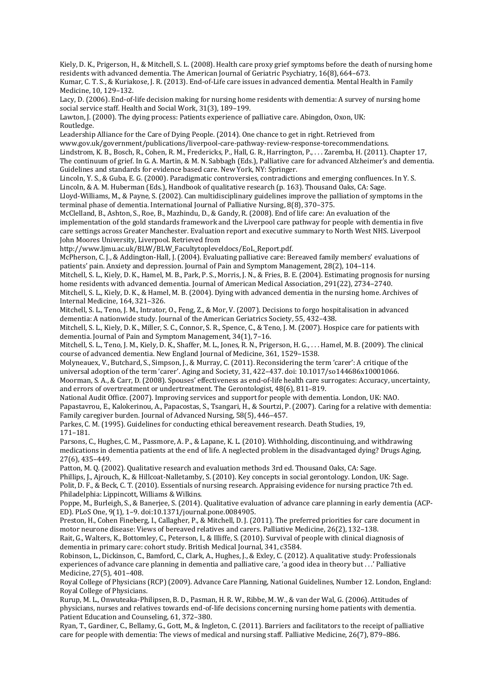Kiely, D. K., Prigerson, H., & Mitchell, S. L. (2008). Health care proxy grief symptoms before the death of nursing home residents with advanced dementia. The American Journal of Geriatric Psychiatry, 16(8), 664–673. Kumar, C. T. S., & Kuriakose, J. R. (2013). End-of-Life care issues in advanced dementia. Mental Health in Family Medicine, 10, 129–132.

Lacy, D. (2006). End-of-life decision making for nursing home residents with dementia: A survey of nursing home social service staff. Health and Social Work, 31(3), 189–199.

Lawton, J. (2000). The dying process: Patients experience of palliative care. Abingdon, Oxon, UK: Routledge.

Leadership Alliance for the Care of Dying People. (2014). One chance to get in right. Retrieved from

www.gov.uk/government/publications/liverpool-care-pathway-review-response-torecommendations. Lindstrom, K. B., Bosch, R., Cohen, R. M., Fredericks, P., Hall, G. R., Harrington, P., . . . Zaremba, H. (2011). Chapter 17, The continuum of grief. In G. A. Martin, & M. N. Sabbagh (Eds.), Palliative care for advanced Alzheimer's and dementia. Guidelines and standards for evidence based care. New York, NY: Springer.

Lincoln, Y. S., & Guba, E. G. (2000). Paradigmatic controversies, contradictions and emerging confluences. In Y. S. Lincoln, & A. M. Huberman (Eds.), Handbook of qualitative research (p. 163). Thousand Oaks, CA: Sage.

Lloyd-Williams, M., & Payne, S. (2002). Can multidisciplinary guidelines improve the palliation of symptoms in the terminal phase of dementia. International Journal of Palliative Nursing, 8(8), 370–375.

McClelland, B., Ashton, S., Roe, B., Mazhindu, D., & Gandy, R. (2008). End of life care: An evaluation of the implementation of the gold standards framework and the Liverpool care pathway for people with dementia in five care settings across Greater Manchester. Evaluation report and executive summary to North West NHS. Liverpool John Moores University, Liverpool. Retrieved from

http://www.ljmu.ac.uk/BLW/BLW\_Facultytopleveldocs/EoL\_Report.pdf.

McPherson, C. J., & Addington-Hall, J. (2004). Evaluating palliative care: Bereaved family members' evaluations of patients' pain. Anxiety and depression. Journal of Pain and Symptom Management, 28(2), 104–114.

Mitchell, S. L., Kiely, D. K., Hamel, M. B., Park, P. S., Morris, J. N., & Fries, B. E. (2004). Estimating prognosis for nursing home residents with advanced dementia. Journal of American Medical Association, 291(22), 2734–2740.

Mitchell, S. L., Kiely, D. K., & Hamel, M. B. (2004). Dying with advanced dementia in the nursing home. Archives of Internal Medicine, 164, 321–326.

Mitchell, S. L., Teno, J. M., Intrator, O., Feng, Z., & Mor, V. (2007). Decisions to forgo hospitalisation in advanced dementia: A nationwide study. Journal of the American Geriatrics Society, 55, 432–438.

Mitchell, S. L., Kiely, D. K., Miller, S. C., Connor, S. R., Spence, C., & Teno, J. M. (2007). Hospice care for patients with dementia. Journal of Pain and Symptom Management, 34(1), 7–16.

Mitchell, S. L., Teno, J. M., Kiely, D. K., Shaffer, M. L., Jones, R. N., Prigerson, H. G., . . . Hamel, M. B. (2009). The clinical course of advanced dementia. New England Journal of Medicine, 361, 1529–1538.

Molyneauex, V., Butchard, S., Simpson, J., & Murray, C. (2011). Reconsidering the term 'carer': A critique of the universal adoption of the term 'carer'. Aging and Society, 31, 422–437. doi: 10.1017/so144686x10001066.

Moorman, S. A., & Carr, D. (2008). Spouses' effectiveness as end-of-life health care surrogates: Accuracy, uncertainty, and errors of overtreatment or undertreatment. The Gerontologist, 48(6), 811–819.

National Audit Office. (2007). Improving services and support for people with dementia. London, UK: NAO. Papastavrou, E., Kalokerinou, A., Papacostas, S., Tsangari, H., & Sourtzi, P. (2007). Caring for a relative with dementia: Family caregiver burden. Journal of Advanced Nursing, 58(5), 446–457.

Parkes, C. M. (1995). Guidelines for conducting ethical bereavement research. Death Studies, 19, 171–181.

Parsons, C., Hughes, C. M., Passmore, A. P., & Lapane, K. L. (2010). Withholding, discontinuing, and withdrawing medications in dementia patients at the end of life. A neglected problem in the disadvantaged dying? Drugs Aging, 27(6), 435–449.

Patton, M. Q. (2002). Qualitative research and evaluation methods 3rd ed. Thousand Oaks, CA: Sage. Phillips, J., Ajrouch, K., & Hillcoat-Nalletamby, S. (2010). Key concepts in social gerontology. London, UK: Sage. Polit, D. F., & Beck, C. T. (2010). Essentials of nursing research. Appraising evidence for nursing practice 7th ed. Philadelphia: Lippincott, Williams & Wilkins.

Poppe, M., Burleigh, S., & Banerjee, S. (2014). Qualitative evaluation of advance care planning in early dementia (ACP-ED). PLoS One, 9(1), 1–9. doi:10.1371/journal.pone.0084905.

Preston, H., Cohen Fineberg, I., Callagher, P., & Mitchell, D. J. (2011). The preferred priorities for care document in motor neurone disease: Views of bereaved relatives and carers. Palliative Medicine, 26(2), 132–138. Rait, G., Walters, K., Bottomley, C., Peterson, I., & Illiffe, S. (2010). Survival of people with clinical diagnosis of

dementia in primary care: cohort study. British Medical Journal, 341, c3584.

Robinson, L., Dickinson, C., Bamford, C., Clark, A., Hughes, J., & Exley, C. (2012). A qualitative study: Professionals experiences of advance care planning in dementia and palliative care, 'a good idea in theory but . . .' Palliative Medicine, 27(5), 401–408.

Royal College of Physicians (RCP) (2009). Advance Care Planning, National Guidelines, Number 12. London, England: Royal College of Physicians.

Rurup, M. L., Onwuteaka-Philipsen, B. D., Pasman, H. R. W., Ribbe, M. W., & van der Wal, G. (2006). Attitudes of physicians, nurses and relatives towards end-of-life decisions concerning nursing home patients with dementia. Patient Education and Counseling, 61, 372–380.

Ryan, T., Gardiner, C., Bellamy, G., Gott, M., & Ingleton, C. (2011). Barriers and facilitators to the receipt of palliative care for people with dementia: The views of medical and nursing staff. Palliative Medicine, 26(7), 879–886.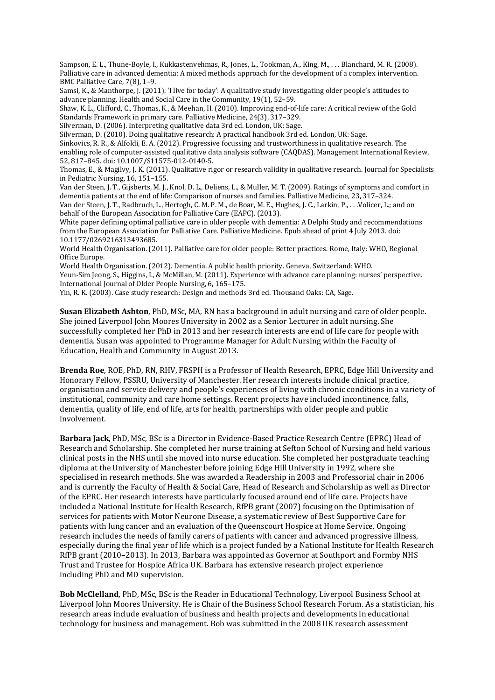Sampson, E. L., Thune-Boyle, I., Kukkastenvehmas, R., Jones, L., Tookman, A., King, M., . . . Blanchard, M. R. (2008). Palliative care in advanced dementia: A mixed methods approach for the development of a complex intervention. BMC Palliative Care, 7(8), 1–9.

Samsi, K., & Manthorpe, J. (2011). 'I live for today': A qualitative study investigating older people's attitudes to advance planning. Health and Social Care in the Community, 19(1), 52–59.

Shaw, K. L., Clifford, C., Thomas, K., & Meehan, H. (2010). Improving end-of-life care: A critical review of the Gold Standards Framework in primary care. Palliative Medicine, 24(3), 317–329.

Silverman, D. (2006). Interpreting qualitative data 3rd ed. London, UK: Sage.

Silverman, D. (2010). Doing qualitative research: A practical handbook 3rd ed. London, UK: Sage.

Sinkovics, R. R., & Alfoldi, E. A. (2012). Progressive focussing and trustworthiness in qualitative research. The enabling role of computer-assisted qualitative data analysis software (CAQDAS). Management International Review, 52, 817–845. doi: 10.1007/S11575-012-0140-5.

Thomas, E., & Magilvy, J. K. (2011). Qualitative rigor or research validity in qualitative research. Journal for Specialists in Pediatric Nursing, 16, 151–155.

Van der Steen, J. T., Gijsberts, M. J., Knol, D. L., Deliens, L., & Muller, M. T. (2009). Ratings of symptoms and comfort in dementia patients at the end of life: Comparison of nurses and families. Palliative Medicine, 23, 317–324.

Van der Steen, J. T., Radbruch, L., Hertogh, C. M. P. M., de Boar, M. E., Hughes, J. C., Larkin, P., . . .Volicer, L.; and on behalf of the European Association for Palliative Care (EAPC). (2013).

White paper defining optimal palliative care in older people with dementia: A Delphi Study and recommendations from the European Association for Palliative Care. Palliative Medicine. Epub ahead of print 4 July 2013. doi: 10.1177/0269216313493685.

World Health Organisation. (2011). Palliative care for older people: Better practices. Rome, Italy: WHO, Regional Office Europe.

World Health Organisation. (2012). Dementia. A public health priority. Geneva, Switzerland: WHO. Yeun-Sim Jeong, S., Higgins, I., & McMillan, M. (2011). Experience with advance care planning: nurses' perspective. International Journal of Older People Nursing, 6, 165–175.

Yin, R. K. (2003). Case study research: Design and methods 3rd ed. Thousand Oaks: CA, Sage.

**Susan Elizabeth Ashton**, PhD, MSc, MA, RN has a background in adult nursing and care of older people. She joined Liverpool John Moores University in 2002 as a Senior Lecturer in adult nursing. She successfully completed her PhD in 2013 and her research interests are end of life care for people with dementia. Susan was appointed to Programme Manager for Adult Nursing within the Faculty of Education, Health and Community in August 2013.

**Brenda Roe**, ROE, PhD, RN, RHV, FRSPH is a Professor of Health Research, EPRC, Edge Hill University and Honorary Fellow, PSSRU, University of Manchester. Her research interests include clinical practice, organisation and service delivery and people's experiences of living with chronic conditions in a variety of institutional, community and care home settings. Recent projects have included incontinence, falls, dementia, quality of life, end of life, arts for health, partnerships with older people and public involvement.

**Barbara Jack**, PhD, MSc, BSc is a Director in Evidence-Based Practice Research Centre (EPRC) Head of Research and Scholarship. She completed her nurse training at Sefton School of Nursing and held various clinical posts in the NHS until she moved into nurse education. She completed her postgraduate teaching diploma at the University of Manchester before joining Edge Hill University in 1992, where she specialised in research methods. She was awarded a Readership in 2003 and Professorial chair in 2006 and is currently the Faculty of Health & Social Care, Head of Research and Scholarship as well as Director of the EPRC. Her research interests have particularly focused around end of life care. Projects have included a National Institute for Health Research, RfPB grant (2007) focusing on the Optimisation of services for patients with Motor Neurone Disease, a systematic review of Best Supportive Care for patients with lung cancer and an evaluation of the Queenscourt Hospice at Home Service. Ongoing research includes the needs of family carers of patients with cancer and advanced progressive illness, especially during the final year of life which is a project funded by a National Institute for Health Research RfPB grant (2010–2013). In 2013, Barbara was appointed as Governor at Southport and Formby NHS Trust and Trustee for Hospice Africa UK. Barbara has extensive research project experience including PhD and MD supervision.

**Bob McClelland**, PhD, MSc, BSc is the Reader in Educational Technology, Liverpool Business School at Liverpool John Moores University. He is Chair of the Business School Research Forum. As a statistician, his research areas include evaluation of business and health projects and developments in educational technology for business and management. Bob was submitted in the 2008 UK research assessment